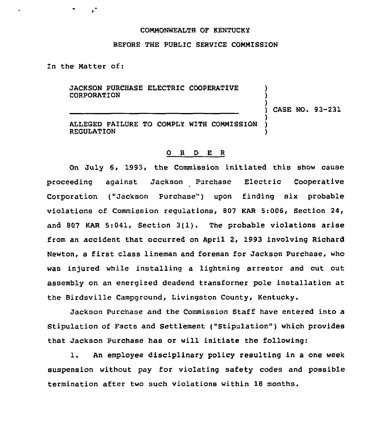## COMMONWEALTH OF KENTUCKY

### BEFORE THE PUBLIC SERVICE COMMISSION

In the Matter of:

JACKSON PURCHASE ELECTRIC COOPERATIVE CORPORATION

) CASE NO. 93-231

) ) )

)

ALLEGED FAILURE TO COMPLY WITH COMMISSION )<br>REGULATION **REGULATION** 

## 0 <sup>R</sup> <sup>D</sup> E <sup>R</sup>

On July 6, 1993, the Commission initiated this show cause proceeding against Jackson Purchase Electric Cooperative Corporation ("Jackson Purchase") upon finding six probable violations of Commission regulations, 807 KAR 5:006, Section 24, and <sup>807</sup> KAR 5:041, Section 3(1). The probable violations arise from an accident that occurred on April 2, 1993 involving Richard Newton, a first class lineman and foreman for Jackson Purchase, who was injured while installing a lightning arrestor and cut out assembly on an energized deadend transformer pole installation at the Birdsville Campground, Livingston County, Kentucky.

Jackson Purchase and the Commission Staff have entered into a Stipulation of Facts and Settlement ("Stipulation" ) which provides that Jackson Purchase has or will initiate the following:

l. An employee disciplinary policy resulting in <sup>a</sup> one week suspension without pay for violating safety codes and possible termination after two such violations within 18 months.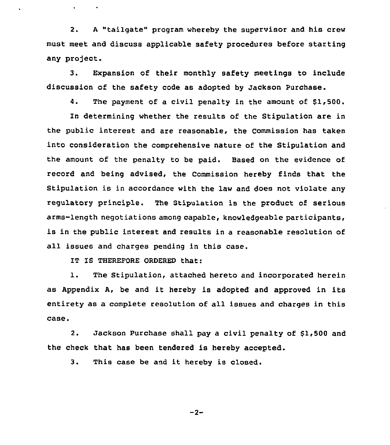2. <sup>A</sup> "tailgate" program whereby the supervisor and his crew must meet and discuss applicable safety procedures before starting any project.

3. Expansion of their monthly safety meetings to include discussion of the safety code as adopted by Jackson Purchase.

4. The payment of a civil penalty in the amount of \$1,500.

In determining whether the results of the Stipulation are in the public interest and are reasonable, the Commission has taken into consideration the comprehensive nature of the Stipulation and the amount of the penalty to be paid. Based on the evidence of record and being advised, the Commission hereby finds that the Stipulation is in accordance with the law and does not violate any regulatory principle. The Stipulation is the product of serious arms-length negotiations among capable, knowledgeable participants, is in the public interest and results in a reasonable resolution of all issues and charges pending in this case.

IT IS THEREFORE ORDERED that:

1. The Stipulation, attached hereto and incorporated herein as Appendix A, be and it hereby is adopted and approved in its entirety as a complete resolution of all issues and charges in this case.

2. Jackson Purchase shall pay a civil penalty of 51,500 and the check that has been tendered is hereby accepted.

3. This case be and it hereby is closed.

$$
-2 -
$$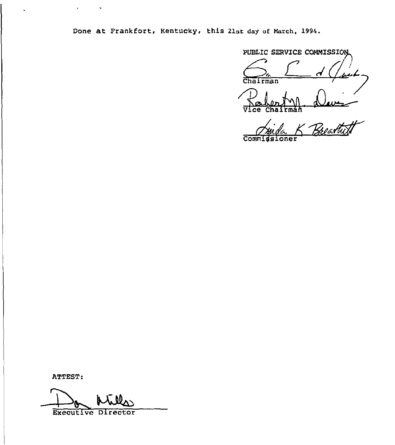Done at Frankfort, Kentucky, this 21st day of March, 1994.

 $\frac{\sum_{i} \sum_{i} d(\mu_i)}{\sum_{i} \sum_{i} d(\mu_i)}$ Palenty d Vice Chaitmah

Commigsioner Breartist

ATTEST:

Executive Director

 $\bullet$ 

 $\bullet$ 

 $\ddot{\phantom{0}}$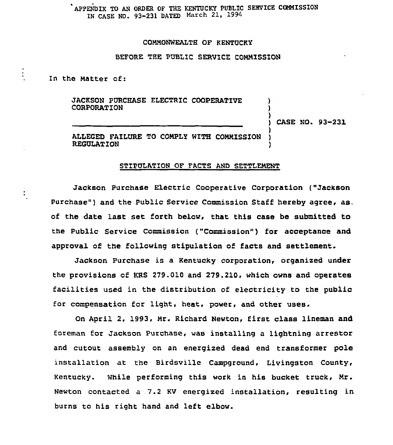# APPENDIX TO AN ORDER OF THE KENTUCKY PUBLIC SERVICE COMMISSION IN CASE NO. 93-231 DATED March 21, 1994

## COMMONWEALTH OF KENTUCKY

#### BEFORE TBE PUBLIC SERVICE COMMISSION

In the Matter of:

JACKSON PURCHASE ELECTRIC COOPERATIVE CORPORATION

) CASE NO. 93-231

) ) )

)

ALLEGED FAILURE TO COMPLY WITH COMMISSION ) **REGULATION** 

# STIPULATION OF FACTS AND SETTLEMENT

Jackson Purchase Electric Cooperative Corporation ("Jackson Purchase") and the Public Service Commission Staff hereby agree, as. of the date last set forth below, that this case be submitted to the Public Service Commission ("Commission") for acceptance and approval of the following stipulation of facts and settlement.

Jackson Purchase is a Kentucky corporation, organired under the provisions of KRS 279.010 and 279.210, which owns and operates facilities used in the distribution of electricity to the public for compensation for light, heat, power, and other uses.

On April 2, 1993, Mr. Richard Newton, first class lineman and foreman for Jackson Purchase, was installing a lightning arrestor and cutout assembly on an energized dead end transformer pole installation at the Birdsville Campground, Livingston County, Kentucky. While performing this work in his bucket truck, Mr. Newton contacted a 7.2 KV energized installation, resulting in burns to his right hand and left elbow.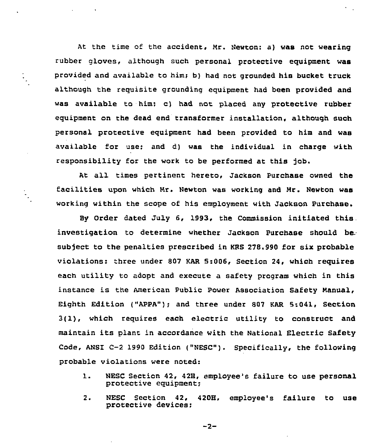At the time of the accident, Mr. Newton: a) was not wearing rubber gloves, although such personal protective equipment was provided and available to him; b) had not grounded his bucket truck although the requisite grounding equipment had been provided and was available to him; c) had not placed any protective rubber equipment on the dead end transformer installation, although such personal protective equipment had been provided to him and was available for use; and d) was the individual in charge with responsibility for the work to be performed at this job.

At all times pertinent hereto, Jackson Purchase owned the facilities upon which Mr. Newton was working and Mr. Newton was working within the scope of his employment with Jackson Purchase.

È,

By Order dated July 6, 1993, the Commission initiated this. investigation to determine whether Jackson Purchase should be. subject to the penalties prescribed in KRS 278.990 for six probable violations: hree under 807 KAR 5:006, Section 24, which requires each utility to adopt and execute a safety program which in this instance is the American Public power Association Safety Manual, Eighth Edition ("APPA"); and three under 807 KAR 5:041, Section 3(1), which requires each electric utility to construct and maintain its plant in accordance with the National Electric Safety Code, ANSI C-2 1990 Edition ("NESC"). Specifically, the following probable violations were noted:

- 1. MESC Section 42, 42H, employee's failure to use personal protective equipment;
- 2. NESC Section 42, 420H, employee's failure to use protective devices;

 $-2-$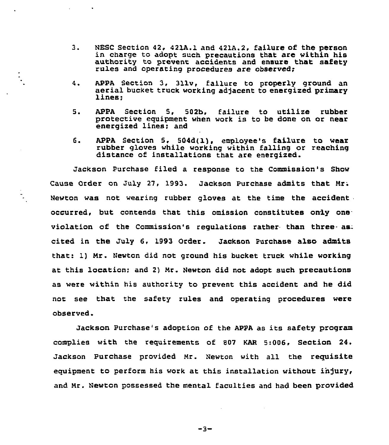- $3.1$ MESC Section 42. 421A.1 and 421A.2, failure of the Person in charge to adopt such precautions that are within his authority to prevent accidents and ensure that safety rules and operating procedures are observed:
- 4. APPA Section 3, 311v, failure to properly ground an aerial bucket truck working adjacent to energized primary lines:
- 5. APPA Section 5, 502b, failure to utilize rubber protective equipment when work is to be done on or near energized lines: and
- 6. APPA Section 5, 504d(1). employee's failure to wear rubber gloves while working within falling or reaching distance of installations that are energized.

Jackson Purchase filed a response to the Commission's Show Cause Order on July 27, 1993. Jackson Purchase admits that Mr; Newton was not wearing rubber gloves at the time the accident occurred, but contends that this omission constitutes only one violation of the Commission's regulations rather than three- as cited in the July 6, 1993 Order. Jackson Purchase also admits that: 1) Mr. Newton did not ground his bucket truck while working at this location; and 2) Mr. Newton did not adopt such precautions as were within his authority to prevent this accident and he did not see that the safety rules and operating procedures were observed.

È,

Jackson purchase's adoption of the AppA as its safety program complies with the requirements of 807 KAR 5:006, Section 24. Jackson purchase provided Mr. Newton with all the requisite equipment to perform his work at this installation without injury, and Mr. Newton possessed the mental faculties and had been provided

-3-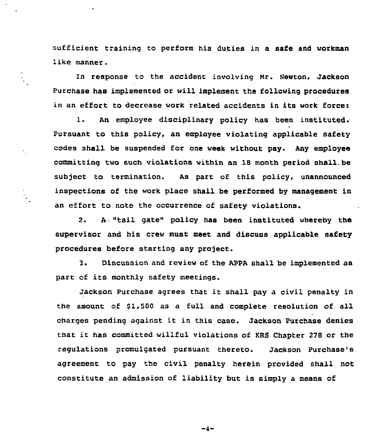sufficient training to perform his duties in a safe and workman like manner.

In response to the accident involving Hr. Newton, Jackson Purchase has implemented or will implement the following procedures in an effort to decrease work related accidents in its work force:

1. An employee disciplinary policy has been instituted. Pursuant to this policy, an employee violating applicable safety codes shall be suspended for one week without pay. Any employee committing two such violations within an 18 month period shall be subject to termination. As part of this policy, unannounced inspections of the work place shall be performed by management in an effort to.note the occurrence of safety violations.

2. A. "tail gate" policy has been instituted whereby the supervisor and his crew must meet and discuss applicable safety procedures before starting any project.

3. Discussion and review of the APPA shall be implemented as part of its monthly safety meetings.

Jackson purchase agrees that it shall pay <sup>a</sup> civil penalty in the amount of \$1,500 as a full and complete resolution of all charges pendinq against it in this case. Jackson Purchase denies that it has committed willful violations of KRS Chapter <sup>278</sup> or the regulations promulgated pursuant thereto. Jackson Purchase's agreement to pay the civil penalty herein provided shall not constitute an admission of liability but is simply a means of

 $-4-$